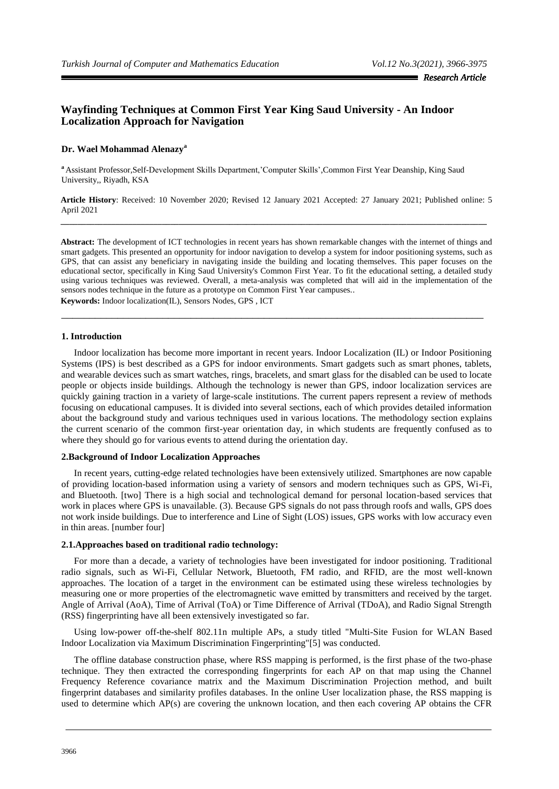# **Wayfinding Techniques at Common First Year King Saud University - An Indoor Localization Approach for Navigation**

## **Dr. Wael Mohammad Alenazy<sup>a</sup>**

**<sup>a</sup>**Assistant Professor,Self-Development Skills Department,"Computer Skills",Common First Year Deanship, King Saud University,, Riyadh, KSA

**Article History**: Received: 10 November 2020; Revised 12 January 2021 Accepted: 27 January 2021; Published online: 5 April 2021 **\_\_\_\_\_\_\_\_\_\_\_\_\_\_\_\_\_\_\_\_\_\_\_\_\_\_\_\_\_\_\_\_\_\_\_\_\_\_\_\_\_\_\_\_\_\_\_\_\_\_\_\_\_\_\_\_\_\_\_\_\_\_\_\_\_\_\_\_\_\_\_\_\_\_\_\_\_\_\_\_\_\_\_\_\_\_\_\_\_\_\_\_\_\_\_\_\_\_\_\_\_**

**Abstract:** The development of ICT technologies in recent years has shown remarkable changes with the internet of things and smart gadgets. This presented an opportunity for indoor navigation to develop a system for indoor positioning systems, such as GPS, that can assist any beneficiary in navigating inside the building and locating themselves. This paper focuses on the educational sector, specifically in King Saud University's Common First Year. To fit the educational setting, a detailed study using various techniques was reviewed. Overall, a meta-analysis was completed that will aid in the implementation of the sensors nodes technique in the future as a prototype on Common First Year campuses.. **Keywords:** Indoor localization(IL), Sensors Nodes, GPS , ICT

\_\_\_\_\_\_\_\_\_\_\_\_\_\_\_\_\_\_\_\_\_\_\_\_\_\_\_\_\_\_\_\_\_\_\_\_\_\_\_\_\_\_\_\_\_\_\_\_\_\_\_\_\_\_\_\_\_\_\_\_\_\_\_\_\_\_\_\_\_\_\_\_\_\_\_

#### **1. Introduction**

Indoor localization has become more important in recent years. Indoor Localization (IL) or Indoor Positioning Systems (IPS) is best described as a GPS for indoor environments. Smart gadgets such as smart phones, tablets, and wearable devices such as smart watches, rings, bracelets, and smart glass for the disabled can be used to locate people or objects inside buildings. Although the technology is newer than GPS, indoor localization services are quickly gaining traction in a variety of large-scale institutions. The current papers represent a review of methods focusing on educational campuses. It is divided into several sections, each of which provides detailed information about the background study and various techniques used in various locations. The methodology section explains the current scenario of the common first-year orientation day, in which students are frequently confused as to where they should go for various events to attend during the orientation day.

## **2.Background of Indoor Localization Approaches**

In recent years, cutting-edge related technologies have been extensively utilized. Smartphones are now capable of providing location-based information using a variety of sensors and modern techniques such as GPS, Wi-Fi, and Bluetooth. [two] There is a high social and technological demand for personal location-based services that work in places where GPS is unavailable. (3). Because GPS signals do not pass through roofs and walls, GPS does not work inside buildings. Due to interference and Line of Sight (LOS) issues, GPS works with low accuracy even in thin areas. [number four]

## **2.1.Approaches based on traditional radio technology:**

For more than a decade, a variety of technologies have been investigated for indoor positioning. Traditional radio signals, such as Wi-Fi, Cellular Network, Bluetooth, FM radio, and RFID, are the most well-known approaches. The location of a target in the environment can be estimated using these wireless technologies by measuring one or more properties of the electromagnetic wave emitted by transmitters and received by the target. Angle of Arrival (AoA), Time of Arrival (ToA) or Time Difference of Arrival (TDoA), and Radio Signal Strength (RSS) fingerprinting have all been extensively investigated so far.

Using low-power off-the-shelf 802.11n multiple APs, a study titled "Multi-Site Fusion for WLAN Based Indoor Localization via Maximum Discrimination Fingerprinting"[5] was conducted.

The offline database construction phase, where RSS mapping is performed, is the first phase of the two-phase technique. They then extracted the corresponding fingerprints for each AP on that map using the Channel Frequency Reference covariance matrix and the Maximum Discrimination Projection method, and built fingerprint databases and similarity profiles databases. In the online User localization phase, the RSS mapping is used to determine which AP(s) are covering the unknown location, and then each covering AP obtains the CFR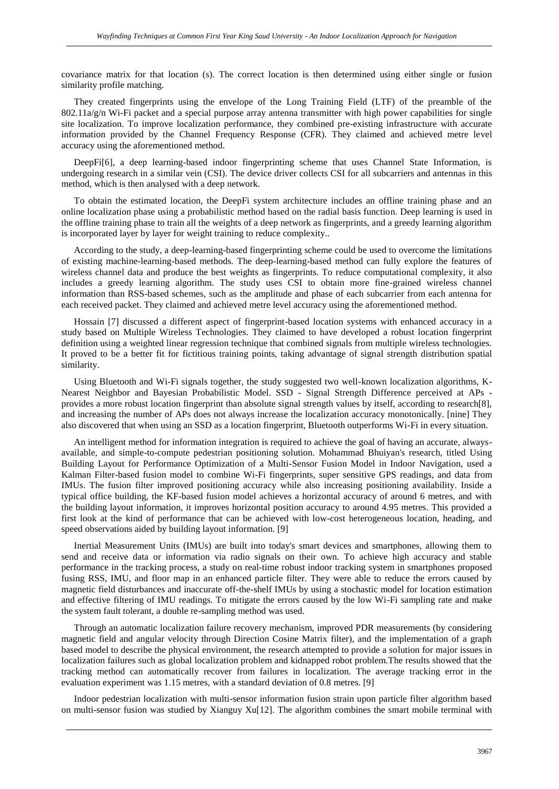covariance matrix for that location (s). The correct location is then determined using either single or fusion similarity profile matching.

They created fingerprints using the envelope of the Long Training Field (LTF) of the preamble of the  $802.11a/g/n$  Wi-Fi packet and a special purpose array antenna transmitter with high power capabilities for single site localization. To improve localization performance, they combined pre-existing infrastructure with accurate information provided by the Channel Frequency Response (CFR). They claimed and achieved metre level accuracy using the aforementioned method.

DeepFi[6], a deep learning-based indoor fingerprinting scheme that uses Channel State Information, is undergoing research in a similar vein (CSI). The device driver collects CSI for all subcarriers and antennas in this method, which is then analysed with a deep network.

To obtain the estimated location, the DeepFi system architecture includes an offline training phase and an online localization phase using a probabilistic method based on the radial basis function. Deep learning is used in the offline training phase to train all the weights of a deep network as fingerprints, and a greedy learning algorithm is incorporated layer by layer for weight training to reduce complexity..

According to the study, a deep-learning-based fingerprinting scheme could be used to overcome the limitations of existing machine-learning-based methods. The deep-learning-based method can fully explore the features of wireless channel data and produce the best weights as fingerprints. To reduce computational complexity, it also includes a greedy learning algorithm. The study uses CSI to obtain more fine-grained wireless channel information than RSS-based schemes, such as the amplitude and phase of each subcarrier from each antenna for each received packet. They claimed and achieved metre level accuracy using the aforementioned method.

Hossain [7] discussed a different aspect of fingerprint-based location systems with enhanced accuracy in a study based on Multiple Wireless Technologies. They claimed to have developed a robust location fingerprint definition using a weighted linear regression technique that combined signals from multiple wireless technologies. It proved to be a better fit for fictitious training points, taking advantage of signal strength distribution spatial similarity.

Using Bluetooth and Wi-Fi signals together, the study suggested two well-known localization algorithms, K-Nearest Neighbor and Bayesian Probabilistic Model. SSD - Signal Strength Difference perceived at APs provides a more robust location fingerprint than absolute signal strength values by itself, according to research[8], and increasing the number of APs does not always increase the localization accuracy monotonically. [nine] They also discovered that when using an SSD as a location fingerprint, Bluetooth outperforms Wi-Fi in every situation.

An intelligent method for information integration is required to achieve the goal of having an accurate, alwaysavailable, and simple-to-compute pedestrian positioning solution. Mohammad Bhuiyan's research, titled Using Building Layout for Performance Optimization of a Multi-Sensor Fusion Model in Indoor Navigation, used a Kalman Filter-based fusion model to combine Wi-Fi fingerprints, super sensitive GPS readings, and data from IMUs. The fusion filter improved positioning accuracy while also increasing positioning availability. Inside a typical office building, the KF-based fusion model achieves a horizontal accuracy of around 6 metres, and with the building layout information, it improves horizontal position accuracy to around 4.95 metres. This provided a first look at the kind of performance that can be achieved with low-cost heterogeneous location, heading, and speed observations aided by building layout information. [9]

Inertial Measurement Units (IMUs) are built into today's smart devices and smartphones, allowing them to send and receive data or information via radio signals on their own. To achieve high accuracy and stable performance in the tracking process, a study on real-time robust indoor tracking system in smartphones proposed fusing RSS, IMU, and floor map in an enhanced particle filter. They were able to reduce the errors caused by magnetic field disturbances and inaccurate off-the-shelf IMUs by using a stochastic model for location estimation and effective filtering of IMU readings. To mitigate the errors caused by the low Wi-Fi sampling rate and make the system fault tolerant, a double re-sampling method was used.

Through an automatic localization failure recovery mechanism, improved PDR measurements (by considering magnetic field and angular velocity through Direction Cosine Matrix filter), and the implementation of a graph based model to describe the physical environment, the research attempted to provide a solution for major issues in localization failures such as global localization problem and kidnapped robot problem.The results showed that the tracking method can automatically recover from failures in localization. The average tracking error in the evaluation experiment was 1.15 metres, with a standard deviation of 0.8 metres. [9]

Indoor pedestrian localization with multi-sensor information fusion strain upon particle filter algorithm based on multi-sensor fusion was studied by Xianguy Xu[12]. The algorithm combines the smart mobile terminal with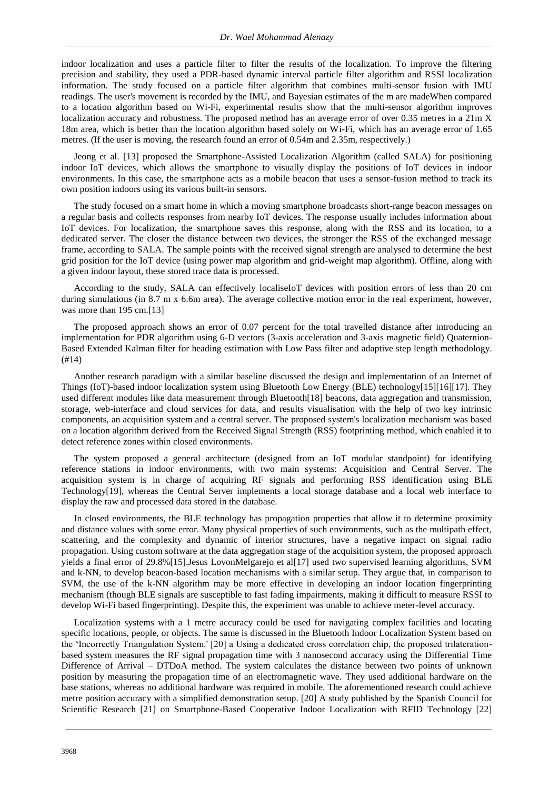indoor localization and uses a particle filter to filter the results of the localization. To improve the filtering precision and stability, they used a PDR-based dynamic interval particle filter algorithm and RSSI localization information. The study focused on a particle filter algorithm that combines multi-sensor fusion with IMU readings. The user's movement is recorded by the IMU, and Bayesian estimates of the m are madeWhen compared to a location algorithm based on Wi-Fi, experimental results show that the multi-sensor algorithm improves localization accuracy and robustness. The proposed method has an average error of over 0.35 metres in a 21m X 18m area, which is better than the location algorithm based solely on Wi-Fi, which has an average error of 1.65 metres. (If the user is moving, the research found an error of 0.54m and 2.35m, respectively.)

Jeong et al. [13] proposed the Smartphone-Assisted Localization Algorithm (called SALA) for positioning indoor IoT devices, which allows the smartphone to visually display the positions of IoT devices in indoor environments. In this case, the smartphone acts as a mobile beacon that uses a sensor-fusion method to track its own position indoors using its various built-in sensors.

The study focused on a smart home in which a moving smartphone broadcasts short-range beacon messages on a regular basis and collects responses from nearby IoT devices. The response usually includes information about IoT devices. For localization, the smartphone saves this response, along with the RSS and its location, to a dedicated server. The closer the distance between two devices, the stronger the RSS of the exchanged message frame, according to SALA. The sample points with the received signal strength are analysed to determine the best grid position for the IoT device (using power map algorithm and grid-weight map algorithm). Offline, along with a given indoor layout, these stored trace data is processed.

According to the study, SALA can effectively localiseIoT devices with position errors of less than 20 cm during simulations (in 8.7 m x 6.6m area). The average collective motion error in the real experiment, however, was more than 195 cm.[13]

The proposed approach shows an error of 0.07 percent for the total travelled distance after introducing an implementation for PDR algorithm using 6-D vectors (3-axis acceleration and 3-axis magnetic field) Quaternion-Based Extended Kalman filter for heading estimation with Low Pass filter and adaptive step length methodology. (#14)

Another research paradigm with a similar baseline discussed the design and implementation of an Internet of Things (IoT)-based indoor localization system using Bluetooth Low Energy (BLE) technology[15][16][17]. They used different modules like data measurement through Bluetooth[18] beacons, data aggregation and transmission, storage, web-interface and cloud services for data, and results visualisation with the help of two key intrinsic components, an acquisition system and a central server. The proposed system's localization mechanism was based on a location algorithm derived from the Received Signal Strength (RSS) footprinting method, which enabled it to detect reference zones within closed environments.

The system proposed a general architecture (designed from an IoT modular standpoint) for identifying reference stations in indoor environments, with two main systems: Acquisition and Central Server. The acquisition system is in charge of acquiring RF signals and performing RSS identification using BLE Technology[19], whereas the Central Server implements a local storage database and a local web interface to display the raw and processed data stored in the database.

In closed environments, the BLE technology has propagation properties that allow it to determine proximity and distance values with some error. Many physical properties of such environments, such as the multipath effect, scattering, and the complexity and dynamic of interior structures, have a negative impact on signal radio propagation. Using custom software at the data aggregation stage of the acquisition system, the proposed approach yields a final error of 29.8%[15].Jesus LovonMelgarejo et al[17] used two supervised learning algorithms, SVM and k-NN, to develop beacon-based location mechanisms with a similar setup. They argue that, in comparison to SVM, the use of the k-NN algorithm may be more effective in developing an indoor location fingerprinting mechanism (though BLE signals are susceptible to fast fading impairments, making it difficult to measure RSSI to develop Wi-Fi based fingerprinting). Despite this, the experiment was unable to achieve meter-level accuracy.

Localization systems with a 1 metre accuracy could be used for navigating complex facilities and locating specific locations, people, or objects. The same is discussed in the Bluetooth Indoor Localization System based on the "Incorrectly Triangulation System.' [20] a Using a dedicated cross correlation chip, the proposed trilaterationbased system measures the RF signal propagation time with 3 nanosecond accuracy using the Differential Time Difference of Arrival – DTDoA method. The system calculates the distance between two points of unknown position by measuring the propagation time of an electromagnetic wave. They used additional hardware on the base stations, whereas no additional hardware was required in mobile. The aforementioned research could achieve metre position accuracy with a simplified demonstration setup. [20] A study published by the Spanish Council for Scientific Research [21] on Smartphone-Based Cooperative Indoor Localization with RFID Technology [22]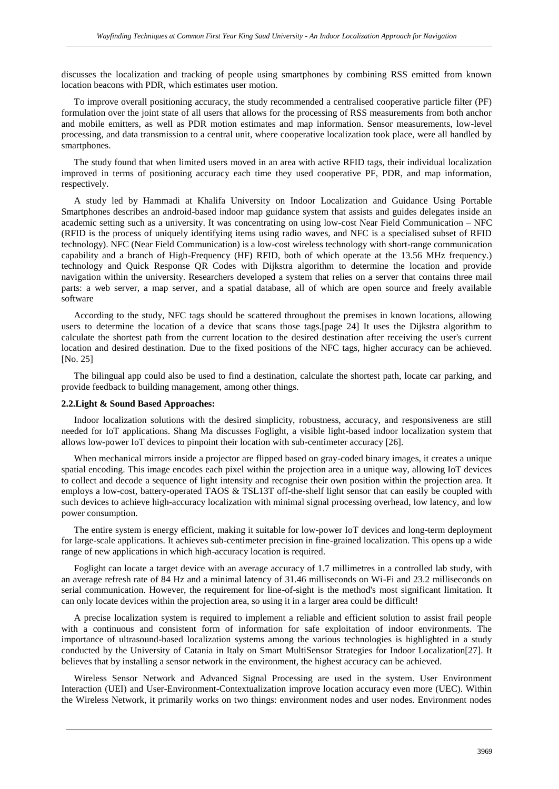discusses the localization and tracking of people using smartphones by combining RSS emitted from known location beacons with PDR, which estimates user motion.

To improve overall positioning accuracy, the study recommended a centralised cooperative particle filter (PF) formulation over the joint state of all users that allows for the processing of RSS measurements from both anchor and mobile emitters, as well as PDR motion estimates and map information. Sensor measurements, low-level processing, and data transmission to a central unit, where cooperative localization took place, were all handled by smartphones.

The study found that when limited users moved in an area with active RFID tags, their individual localization improved in terms of positioning accuracy each time they used cooperative PF, PDR, and map information, respectively.

A study led by Hammadi at Khalifa University on Indoor Localization and Guidance Using Portable Smartphones describes an android-based indoor map guidance system that assists and guides delegates inside an academic setting such as a university. It was concentrating on using low-cost Near Field Communication – NFC (RFID is the process of uniquely identifying items using radio waves, and NFC is a specialised subset of RFID technology). NFC (Near Field Communication) is a low-cost wireless technology with short-range communication capability and a branch of High-Frequency (HF) RFID, both of which operate at the 13.56 MHz frequency.) technology and Quick Response QR Codes with Dijkstra algorithm to determine the location and provide navigation within the university. Researchers developed a system that relies on a server that contains three mail parts: a web server, a map server, and a spatial database, all of which are open source and freely available software

According to the study, NFC tags should be scattered throughout the premises in known locations, allowing users to determine the location of a device that scans those tags.[page 24] It uses the Dijkstra algorithm to calculate the shortest path from the current location to the desired destination after receiving the user's current location and desired destination. Due to the fixed positions of the NFC tags, higher accuracy can be achieved. [No. 25]

The bilingual app could also be used to find a destination, calculate the shortest path, locate car parking, and provide feedback to building management, among other things.

#### **2.2.Light & Sound Based Approaches:**

Indoor localization solutions with the desired simplicity, robustness, accuracy, and responsiveness are still needed for IoT applications. Shang Ma discusses Foglight, a visible light-based indoor localization system that allows low-power IoT devices to pinpoint their location with sub-centimeter accuracy [26].

When mechanical mirrors inside a projector are flipped based on gray-coded binary images, it creates a unique spatial encoding. This image encodes each pixel within the projection area in a unique way, allowing IoT devices to collect and decode a sequence of light intensity and recognise their own position within the projection area. It employs a low-cost, battery-operated TAOS & TSL13T off-the-shelf light sensor that can easily be coupled with such devices to achieve high-accuracy localization with minimal signal processing overhead, low latency, and low power consumption.

The entire system is energy efficient, making it suitable for low-power IoT devices and long-term deployment for large-scale applications. It achieves sub-centimeter precision in fine-grained localization. This opens up a wide range of new applications in which high-accuracy location is required.

Foglight can locate a target device with an average accuracy of 1.7 millimetres in a controlled lab study, with an average refresh rate of 84 Hz and a minimal latency of 31.46 milliseconds on Wi-Fi and 23.2 milliseconds on serial communication. However, the requirement for line-of-sight is the method's most significant limitation. It can only locate devices within the projection area, so using it in a larger area could be difficult!

A precise localization system is required to implement a reliable and efficient solution to assist frail people with a continuous and consistent form of information for safe exploitation of indoor environments. The importance of ultrasound-based localization systems among the various technologies is highlighted in a study conducted by the University of Catania in Italy on Smart MultiSensor Strategies for Indoor Localization[27]. It believes that by installing a sensor network in the environment, the highest accuracy can be achieved.

Wireless Sensor Network and Advanced Signal Processing are used in the system. User Environment Interaction (UEI) and User-Environment-Contextualization improve location accuracy even more (UEC). Within the Wireless Network, it primarily works on two things: environment nodes and user nodes. Environment nodes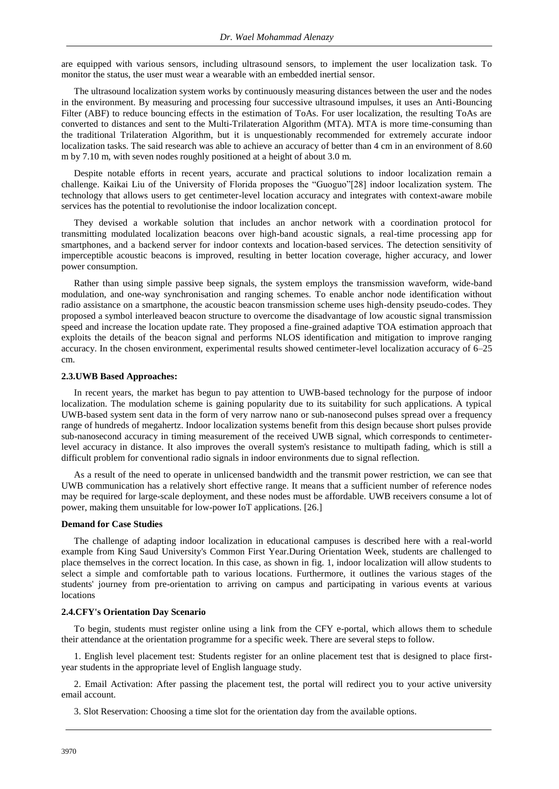are equipped with various sensors, including ultrasound sensors, to implement the user localization task. To monitor the status, the user must wear a wearable with an embedded inertial sensor.

The ultrasound localization system works by continuously measuring distances between the user and the nodes in the environment. By measuring and processing four successive ultrasound impulses, it uses an Anti-Bouncing Filter (ABF) to reduce bouncing effects in the estimation of ToAs. For user localization, the resulting ToAs are converted to distances and sent to the Multi-Trilateration Algorithm (MTA). MTA is more time-consuming than the traditional Trilateration Algorithm, but it is unquestionably recommended for extremely accurate indoor localization tasks. The said research was able to achieve an accuracy of better than 4 cm in an environment of 8.60 m by 7.10 m, with seven nodes roughly positioned at a height of about 3.0 m.

Despite notable efforts in recent years, accurate and practical solutions to indoor localization remain a challenge. Kaikai Liu of the University of Florida proposes the "Guoguo"[28] indoor localization system. The technology that allows users to get centimeter-level location accuracy and integrates with context-aware mobile services has the potential to revolutionise the indoor localization concept.

They devised a workable solution that includes an anchor network with a coordination protocol for transmitting modulated localization beacons over high-band acoustic signals, a real-time processing app for smartphones, and a backend server for indoor contexts and location-based services. The detection sensitivity of imperceptible acoustic beacons is improved, resulting in better location coverage, higher accuracy, and lower power consumption.

Rather than using simple passive beep signals, the system employs the transmission waveform, wide-band modulation, and one-way synchronisation and ranging schemes. To enable anchor node identification without radio assistance on a smartphone, the acoustic beacon transmission scheme uses high-density pseudo-codes. They proposed a symbol interleaved beacon structure to overcome the disadvantage of low acoustic signal transmission speed and increase the location update rate. They proposed a fine-grained adaptive TOA estimation approach that exploits the details of the beacon signal and performs NLOS identification and mitigation to improve ranging accuracy. In the chosen environment, experimental results showed centimeter-level localization accuracy of 6–25 cm.

#### **2.3.UWB Based Approaches:**

In recent years, the market has begun to pay attention to UWB-based technology for the purpose of indoor localization. The modulation scheme is gaining popularity due to its suitability for such applications. A typical UWB-based system sent data in the form of very narrow nano or sub-nanosecond pulses spread over a frequency range of hundreds of megahertz. Indoor localization systems benefit from this design because short pulses provide sub-nanosecond accuracy in timing measurement of the received UWB signal, which corresponds to centimeterlevel accuracy in distance. It also improves the overall system's resistance to multipath fading, which is still a difficult problem for conventional radio signals in indoor environments due to signal reflection.

As a result of the need to operate in unlicensed bandwidth and the transmit power restriction, we can see that UWB communication has a relatively short effective range. It means that a sufficient number of reference nodes may be required for large-scale deployment, and these nodes must be affordable. UWB receivers consume a lot of power, making them unsuitable for low-power IoT applications. [26.]

#### **Demand for Case Studies**

The challenge of adapting indoor localization in educational campuses is described here with a real-world example from King Saud University's Common First Year.During Orientation Week, students are challenged to place themselves in the correct location. In this case, as shown in fig. 1, indoor localization will allow students to select a simple and comfortable path to various locations. Furthermore, it outlines the various stages of the students' journey from pre-orientation to arriving on campus and participating in various events at various locations

## **2.4.CFY's Orientation Day Scenario**

To begin, students must register online using a link from the CFY e-portal, which allows them to schedule their attendance at the orientation programme for a specific week. There are several steps to follow.

1. English level placement test: Students register for an online placement test that is designed to place firstyear students in the appropriate level of English language study.

2. Email Activation: After passing the placement test, the portal will redirect you to your active university email account.

3. Slot Reservation: Choosing a time slot for the orientation day from the available options.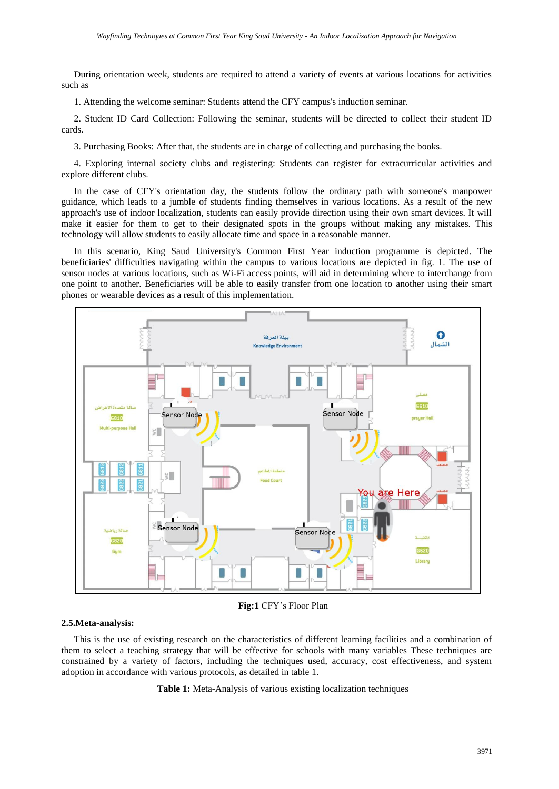During orientation week, students are required to attend a variety of events at various locations for activities such as

1. Attending the welcome seminar: Students attend the CFY campus's induction seminar.

2. Student ID Card Collection: Following the seminar, students will be directed to collect their student ID cards.

3. Purchasing Books: After that, the students are in charge of collecting and purchasing the books.

4. Exploring internal society clubs and registering: Students can register for extracurricular activities and explore different clubs.

In the case of CFY's orientation day, the students follow the ordinary path with someone's manpower guidance, which leads to a jumble of students finding themselves in various locations. As a result of the new approach's use of indoor localization, students can easily provide direction using their own smart devices. It will make it easier for them to get to their designated spots in the groups without making any mistakes. This technology will allow students to easily allocate time and space in a reasonable manner.

In this scenario, King Saud University's Common First Year induction programme is depicted. The beneficiaries' difficulties navigating within the campus to various locations are depicted in fig. 1. The use of sensor nodes at various locations, such as Wi-Fi access points, will aid in determining where to interchange from one point to another. Beneficiaries will be able to easily transfer from one location to another using their smart phones or wearable devices as a result of this implementation.



**Fig:1** CFY"s Floor Plan

## **2.5.Meta-analysis:**

This is the use of existing research on the characteristics of different learning facilities and a combination of them to select a teaching strategy that will be effective for schools with many variables These techniques are constrained by a variety of factors, including the techniques used, accuracy, cost effectiveness, and system adoption in accordance with various protocols, as detailed in table 1.

**Table 1:** Meta-Analysis of various existing localization techniques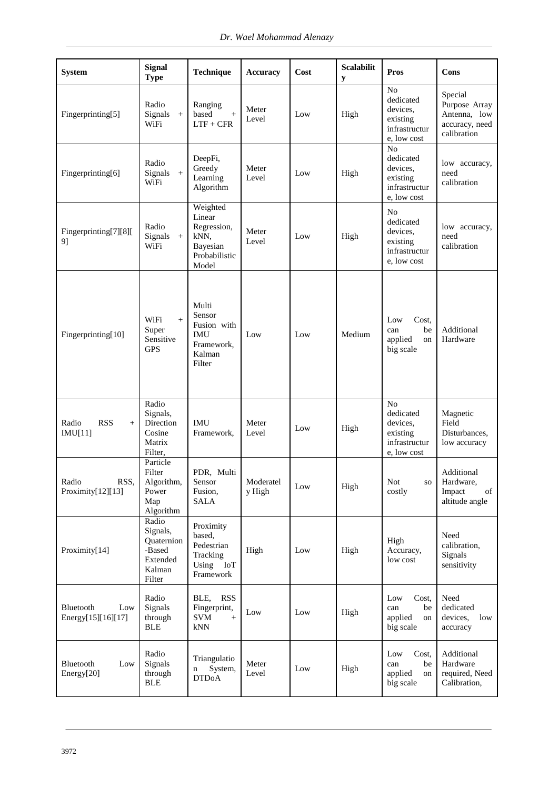| <b>System</b>                          | <b>Signal</b><br><b>Type</b>                                              | Technique                                                                       | <b>Accuracy</b>     | Cost | <b>Scalabilit</b><br>y | <b>Pros</b>                                                                         | Cons                                                                      |
|----------------------------------------|---------------------------------------------------------------------------|---------------------------------------------------------------------------------|---------------------|------|------------------------|-------------------------------------------------------------------------------------|---------------------------------------------------------------------------|
| Fingerprinting[5]                      | Radio<br>Signals<br>$\, +$<br>WiFi                                        | Ranging<br>based<br>$\qquad \qquad +$<br>$LTF + CFR$                            | Meter<br>Level      | Low  | High                   | N <sub>o</sub><br>dedicated<br>devices.<br>existing<br>infrastructur<br>e, low cost | Special<br>Purpose Array<br>Antenna, low<br>accuracy, need<br>calibration |
| Fingerprinting[6]                      | Radio<br>$Signals$ +<br>WiFi                                              | DeepFi,<br>Greedy<br>Learning<br>Algorithm                                      | Meter<br>Level      | Low  | High                   | N <sub>o</sub><br>dedicated<br>devices,<br>existing<br>infrastructur<br>e, low cost | low accuracy,<br>need<br>calibration                                      |
| Fingerprinting[7][8][<br>9]            | Radio<br>Signals<br>$\boldsymbol{+}$<br>WiFi                              | Weighted<br>Linear<br>Regression,<br>kNN,<br>Bayesian<br>Probabilistic<br>Model | Meter<br>Level      | Low  | High                   | No<br>dedicated<br>devices.<br>existing<br>infrastructur<br>e, low cost             | low accuracy,<br>need<br>calibration                                      |
| Fingerprinting[10]                     | WiFi<br>$+$<br>Super<br>Sensitive<br><b>GPS</b>                           | Multi<br>Sensor<br>Fusion with<br><b>IMU</b><br>Framework,<br>Kalman<br>Filter  | Low                 | Low  | Medium                 | Cost.<br>Low<br>be<br>can<br>applied<br>on<br>big scale                             | Additional<br>Hardware                                                    |
| Radio<br><b>RSS</b><br>$+$<br>IMU[11]  | Radio<br>Signals,<br>Direction<br>Cosine<br>Matrix<br>Filter,             | IMU<br>Framework,                                                               | Meter<br>Level      | Low  | High                   | No<br>dedicated<br>devices,<br>existing<br>infrastructur<br>e, low cost             | Magnetic<br>Field<br>Disturbances,<br>low accuracy                        |
| Radio<br>RSS,<br>Proximity[12][13]     | Particle<br>Filter<br>Algorithm,<br>Power<br>Map<br>Algorithm             | PDR, Multi<br>Sensor<br>Fusion,<br><b>SALA</b>                                  | Moderatel<br>y High | Low  | High                   | <b>Not</b><br>SO.<br>costly                                                         | Additional<br>Hardware,<br>Impact<br>of<br>altitude angle                 |
| Proximity[14]                          | Radio<br>Signals,<br>Quaternion<br>-Based<br>Extended<br>Kalman<br>Filter | Proximity<br>based,<br>Pedestrian<br>Tracking<br>Using IoT<br>Framework         | High                | Low  | High                   | High<br>Accuracy,<br>low cost                                                       | Need<br>calibration,<br>Signals<br>sensitivity                            |
| Bluetooth<br>Low<br>Energy[15][16][17] | Radio<br>Signals<br>through<br><b>BLE</b>                                 | BLE,<br><b>RSS</b><br>Fingerprint,<br><b>SVM</b><br>$^{+}$<br>kNN               | Low                 | Low  | High                   | Cost,<br>Low<br>be<br>can<br>applied<br>on<br>big scale                             | Need<br>dedicated<br>devices,<br>low<br>accuracy                          |
| Bluetooth<br>Low<br>Energy[20]         | Radio<br>Signals<br>through<br>$\operatorname{BLE}$                       | Triangulatio<br>System,<br>n<br><b>DTDoA</b>                                    | Meter<br>Level      | Low  | High                   | Cost,<br>Low<br>be<br>can<br>applied<br>on<br>big scale                             | Additional<br>Hardware<br>required, Need<br>Calibration,                  |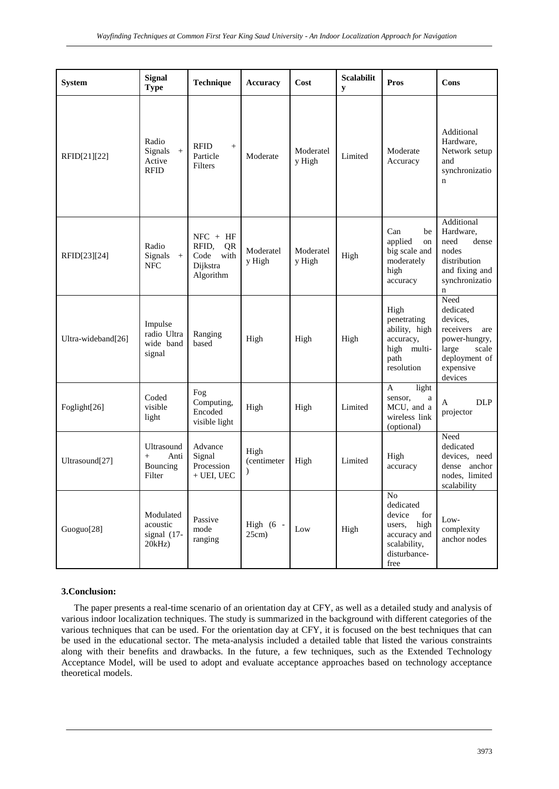| <b>System</b>      | <b>Signal</b><br><b>Type</b>                       | Technique                                                          | <b>Accuracy</b>                      | Cost                | <b>Scalabilit</b><br>y | <b>Pros</b>                                                                                                      | Cons                                                                                                                          |
|--------------------|----------------------------------------------------|--------------------------------------------------------------------|--------------------------------------|---------------------|------------------------|------------------------------------------------------------------------------------------------------------------|-------------------------------------------------------------------------------------------------------------------------------|
| RFID[21][22]       | Radio<br>Signals<br>$+$<br>Active<br><b>RFID</b>   | <b>RFID</b><br>$^{+}$<br>Particle<br>Filters                       | Moderate                             | Moderatel<br>y High | Limited                | Moderate<br>Accuracy                                                                                             | Additional<br>Hardware,<br>Network setup<br>and<br>synchronizatio<br>$\mathbf n$                                              |
| RFID[23][24]       | Radio<br>Signals<br>$\,+\,$<br><b>NFC</b>          | $NFC + HF$<br>RFID,<br>QR<br>Code<br>with<br>Dijkstra<br>Algorithm | Moderatel<br>y High                  | Moderatel<br>y High | High                   | Can<br>be<br>applied<br>on<br>big scale and<br>moderately<br>high<br>accuracy                                    | Additional<br>Hardware,<br>need<br>dense<br>nodes<br>distribution<br>and fixing and<br>synchronizatio<br>$\mathbf n$          |
| Ultra-wideband[26] | Impulse<br>radio Ultra<br>wide band<br>signal      | Ranging<br>based                                                   | High                                 | High                | High                   | High<br>penetrating<br>ability, high<br>accuracy,<br>high multi-<br>path<br>resolution                           | Need<br>dedicated<br>devices.<br>receivers<br>are<br>power-hungry,<br>scale<br>large<br>deployment of<br>expensive<br>devices |
| Foglight[26]       | Coded<br>visible<br>light                          | Fog<br>Computing,<br>Encoded<br>visible light                      | High                                 | High                | Limited                | light<br>A<br>sensor,<br>$\rm{a}$<br>MCU, and a<br>wireless link<br>(optional)                                   | <b>DLP</b><br>A<br>projector                                                                                                  |
| Ultrasound[27]     | Ultrasound<br>Anti<br>$^{+}$<br>Bouncing<br>Filter | Advance<br>Signal<br>Procession<br>$+$ UEI, UEC                    | High<br>(centimeter<br>$\mathcal{E}$ | High                | Limited                | High<br>accuracy                                                                                                 | Need<br>dedicated<br>devices, need<br>dense anchor<br>nodes, limited<br>scalability                                           |
| Guoguo[28]         | Modulated<br>acoustic<br>signal (17-<br>20kHz)     | Passive<br>mode<br>ranging                                         | High $(6 -$<br>25cm)                 | Low                 | High                   | $\rm No$<br>dedicated<br>device<br>for<br>high<br>users,<br>accuracy and<br>scalability,<br>disturbance-<br>free | $_{\rm Low-}$<br>complexity<br>anchor nodes                                                                                   |

## **3.Conclusion:**

The paper presents a real-time scenario of an orientation day at CFY, as well as a detailed study and analysis of various indoor localization techniques. The study is summarized in the background with different categories of the various techniques that can be used. For the orientation day at CFY, it is focused on the best techniques that can be used in the educational sector. The meta-analysis included a detailed table that listed the various constraints along with their benefits and drawbacks. In the future, a few techniques, such as the Extended Technology Acceptance Model, will be used to adopt and evaluate acceptance approaches based on technology acceptance theoretical models.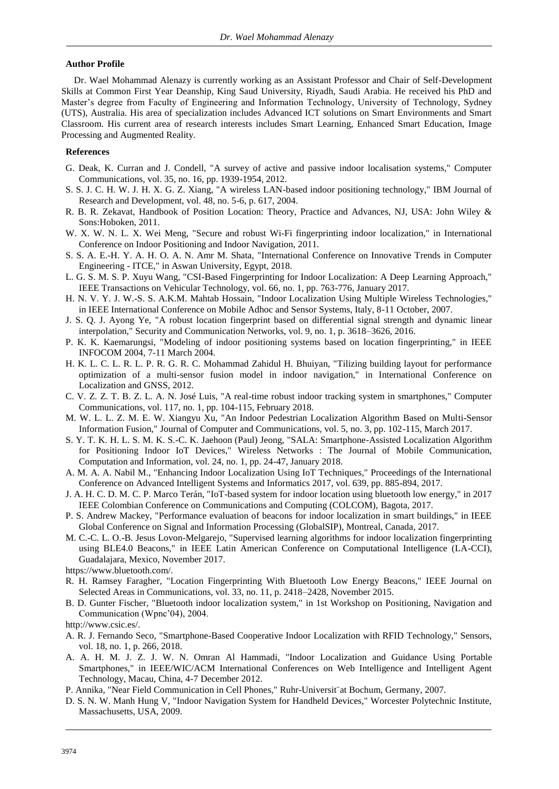## **Author Profile**

Dr. Wael Mohammad Alenazy is currently working as an Assistant Professor and Chair of Self-Development Skills at Common First Year Deanship, King Saud University, Riyadh, Saudi Arabia. He received his PhD and Master"s degree from Faculty of Engineering and Information Technology, University of Technology, Sydney (UTS), Australia. His area of specialization includes Advanced ICT solutions on Smart Environments and Smart Classroom. His current area of research interests includes Smart Learning, Enhanced Smart Education, Image Processing and Augmented Reality.

#### **References**

- G. Deak, K. Curran and J. Condell, "A survey of active and passive indoor localisation systems," Computer Communications, vol. 35, no. 16, pp. 1939-1954, 2012.
- S. S. J. C. H. W. J. H. X. G. Z. Xiang, "A wireless LAN-based indoor positioning technology," IBM Journal of Research and Development, vol. 48, no. 5-6, p. 617, 2004.
- R. B. R. Zekavat, Handbook of Position Location: Theory, Practice and Advances, NJ, USA: John Wiley & Sons:Hoboken, 2011.
- W. X. W. N. L. X. Wei Meng, "Secure and robust Wi-Fi fingerprinting indoor localization," in International Conference on Indoor Positioning and Indoor Navigation, 2011.
- S. S. A. E.-H. Y. A. H. O. A. N. Amr M. Shata, "International Conference on Innovative Trends in Computer Engineering - ITCE," in Aswan University, Egypt, 2018.
- L. G. S. M. S. P. Xuyu Wang, "CSI-Based Fingerprinting for Indoor Localization: A Deep Learning Approach," IEEE Transactions on Vehicular Technology, vol. 66, no. 1, pp. 763-776, January 2017.
- H. N. V. Y. J. W.-S. S. A.K.M. Mahtab Hossain, "Indoor Localization Using Multiple Wireless Technologies," in IEEE International Conference on Mobile Adhoc and Sensor Systems, Italy, 8-11 October, 2007.
- J. S. Q. J. Ayong Ye, "A robust location fingerprint based on differential signal strength and dynamic linear interpolation," Security and Communication Networks, vol. 9, no. 1, p. 3618–3626, 2016.
- P. K. K. Kaemarungsi, "Modeling of indoor positioning systems based on location fingerprinting," in IEEE INFOCOM 2004, 7-11 March 2004.
- H. K. L. C. L. R. L. P. R. G. R. C. Mohammad Zahidul H. Bhuiyan, "Tilizing building layout for performance optimization of a multi-sensor fusion model in indoor navigation," in International Conference on Localization and GNSS, 2012.
- C. V. Z. Z. T. B. Z. L. A. N. José Luis, "A real-time robust indoor tracking system in smartphones," Computer Communications, vol. 117, no. 1, pp. 104-115, February 2018.
- M. W. L. L. Z. M. E. W. Xiangyu Xu, "An Indoor Pedestrian Localization Algorithm Based on Multi-Sensor Information Fusion," Journal of Computer and Communications, vol. 5, no. 3, pp. 102-115, March 2017.
- S. Y. T. K. H. L. S. M. K. S.-C. K. Jaehoon (Paul) Jeong, "SALA: Smartphone-Assisted Localization Algorithm for Positioning Indoor IoT Devices," Wireless Networks : The Journal of Mobile Communication, Computation and Information, vol. 24, no. 1, pp. 24-47, January 2018.
- A. M. A. A. Nabil M., "Enhancing Indoor Localization Using IoT Techniques," Proceedings of the International Conference on Advanced Intelligent Systems and Informatics 2017, vol. 639, pp. 885-894, 2017.
- J. A. H. C. D. M. C. P. Marco Terán, "IoT-based system for indoor location using bluetooth low energy," in 2017 IEEE Colombian Conference on Communications and Computing (COLCOM), Bagota, 2017.
- P. S. Andrew Mackey, "Performance evaluation of beacons for indoor localization in smart buildings," in IEEE Global Conference on Signal and Information Processing (GlobalSIP), Montreal, Canada, 2017.
- M. C.-C. L. O.-B. Jesus Lovon-Melgarejo, "Supervised learning algorithms for indoor localization fingerprinting using BLE4.0 Beacons," in IEEE Latin American Conference on Computational Intelligence (LA-CCI), Guadalajara, Mexico, November 2017.
- https://www.bluetooth.com/.
- R. H. Ramsey Faragher, "Location Fingerprinting With Bluetooth Low Energy Beacons," IEEE Journal on Selected Areas in Communications, vol. 33, no. 11, p. 2418–2428, November 2015.
- B. D. Gunter Fischer, "Bluetooth indoor localization system," in 1st Workshop on Positioning, Navigation and Communication (Wpnc"04), 2004.

http://www.csic.es/.

- A. R. J. Fernando Seco, "Smartphone-Based Cooperative Indoor Localization with RFID Technology," Sensors, vol. 18, no. 1, p. 266, 2018.
- A. A. H. M. J. Z. J. W. N. Omran Al Hammadi, "Indoor Localization and Guidance Using Portable Smartphones," in IEEE/WIC/ACM International Conferences on Web Intelligence and Intelligent Agent Technology, Macau, China, 4-7 December 2012.
- P. Annika, "Near Field Communication in Cell Phones," Ruhr-Universit¨at Bochum, Germany, 2007.
- D. S. N. W. Manh Hung V, "Indoor Navigation System for Handheld Devices," Worcester Polytechnic Institute, Massachusetts, USA, 2009.